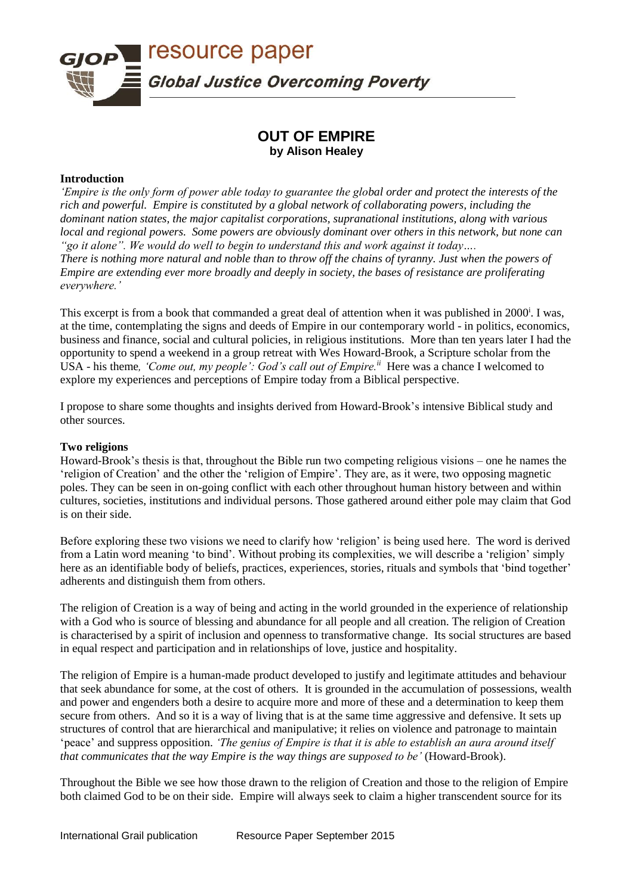

# **OUT OF EMPIRE by Alison Healey**

## **Introduction**

*'Empire is the only form of power able today to guarantee the global order and protect the interests of the rich and powerful. Empire is constituted by a global network of collaborating powers, including the dominant nation states, the major capitalist corporations, supranational institutions, along with various local and regional powers. Some powers are obviously dominant over others in this network, but none can "go it alone". We would do well to begin to understand this and work against it today…. There is nothing more natural and noble than to throw off the chains of tyranny. Just when the powers of Empire are extending ever more broadly and deeply in society, the bases of resistance are proliferating everywhere.'*

This excerpt is from a book that commanded a great deal of attention when it was published in 2000<sup>i</sup>. I was, at the time, contemplating the signs and deeds of Empire in our contemporary world - in politics, economics, business and finance, social and cultural policies, in religious institutions. More than ten years later I had the opportunity to spend a weekend in a group retreat with Wes Howard-Brook, a Scripture scholar from the USA - his theme, 'Come out, my people': God's call out of Empire.<sup>*ii*</sup> Here was a chance I welcomed to explore my experiences and perceptions of Empire today from a Biblical perspective.

I propose to share some thoughts and insights derived from Howard-Brook's intensive Biblical study and other sources.

## **Two religions**

Howard-Brook's thesis is that, throughout the Bible run two competing religious visions – one he names the 'religion of Creation' and the other the 'religion of Empire'. They are, as it were, two opposing magnetic poles. They can be seen in on-going conflict with each other throughout human history between and within cultures, societies, institutions and individual persons. Those gathered around either pole may claim that God is on their side.

Before exploring these two visions we need to clarify how 'religion' is being used here. The word is derived from a Latin word meaning 'to bind'. Without probing its complexities, we will describe a 'religion' simply here as an identifiable body of beliefs, practices, experiences, stories, rituals and symbols that 'bind together' adherents and distinguish them from others.

The religion of Creation is a way of being and acting in the world grounded in the experience of relationship with a God who is source of blessing and abundance for all people and all creation. The religion of Creation is characterised by a spirit of inclusion and openness to transformative change. Its social structures are based in equal respect and participation and in relationships of love, justice and hospitality.

The religion of Empire is a human-made product developed to justify and legitimate attitudes and behaviour that seek abundance for some, at the cost of others. It is grounded in the accumulation of possessions, wealth and power and engenders both a desire to acquire more and more of these and a determination to keep them secure from others. And so it is a way of living that is at the same time aggressive and defensive. It sets up structures of control that are hierarchical and manipulative; it relies on violence and patronage to maintain 'peace' and suppress opposition. *'The genius of Empire is that it is able to establish an aura around itself that communicates that the way Empire is the way things are supposed to be'* (Howard-Brook).

Throughout the Bible we see how those drawn to the religion of Creation and those to the religion of Empire both claimed God to be on their side. Empire will always seek to claim a higher transcendent source for its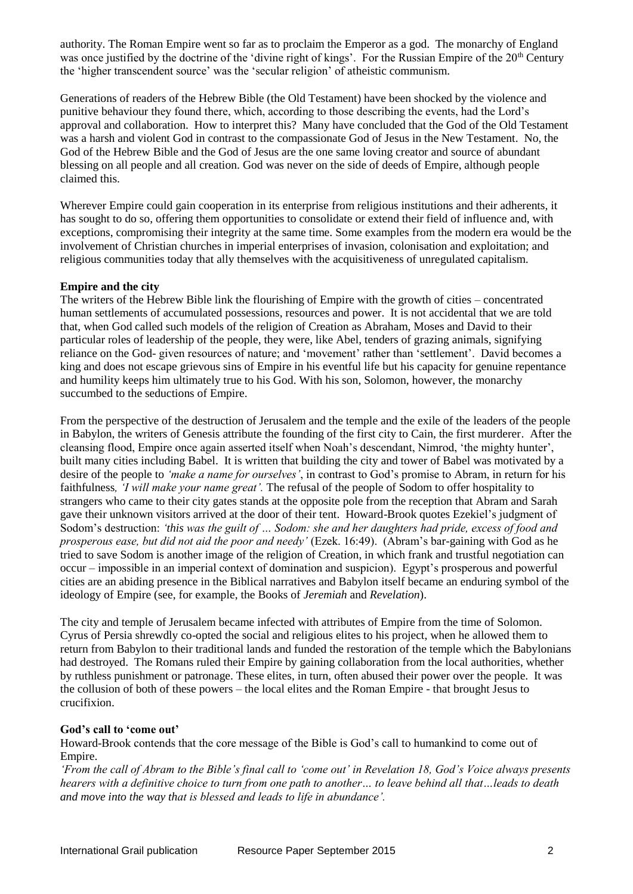authority. The Roman Empire went so far as to proclaim the Emperor as a god. The monarchy of England was once justified by the doctrine of the 'divine right of kings'. For the Russian Empire of the 20<sup>th</sup> Century the 'higher transcendent source' was the 'secular religion' of atheistic communism.

Generations of readers of the Hebrew Bible (the Old Testament) have been shocked by the violence and punitive behaviour they found there, which, according to those describing the events, had the Lord's approval and collaboration. How to interpret this? Many have concluded that the God of the Old Testament was a harsh and violent God in contrast to the compassionate God of Jesus in the New Testament. No, the God of the Hebrew Bible and the God of Jesus are the one same loving creator and source of abundant blessing on all people and all creation. God was never on the side of deeds of Empire, although people claimed this.

Wherever Empire could gain cooperation in its enterprise from religious institutions and their adherents, it has sought to do so, offering them opportunities to consolidate or extend their field of influence and, with exceptions, compromising their integrity at the same time. Some examples from the modern era would be the involvement of Christian churches in imperial enterprises of invasion, colonisation and exploitation; and religious communities today that ally themselves with the acquisitiveness of unregulated capitalism.

## **Empire and the city**

The writers of the Hebrew Bible link the flourishing of Empire with the growth of cities – concentrated human settlements of accumulated possessions, resources and power. It is not accidental that we are told that, when God called such models of the religion of Creation as Abraham, Moses and David to their particular roles of leadership of the people, they were, like Abel, tenders of grazing animals, signifying reliance on the God- given resources of nature; and 'movement' rather than 'settlement'. David becomes a king and does not escape grievous sins of Empire in his eventful life but his capacity for genuine repentance and humility keeps him ultimately true to his God. With his son, Solomon, however, the monarchy succumbed to the seductions of Empire.

From the perspective of the destruction of Jerusalem and the temple and the exile of the leaders of the people in Babylon, the writers of Genesis attribute the founding of the first city to Cain, the first murderer. After the cleansing flood, Empire once again asserted itself when Noah's descendant, Nimrod, 'the mighty hunter', built many cities including Babel. It is written that building the city and tower of Babel was motivated by a desire of the people to *'make a name for ourselves'*, in contrast to God's promise to Abram, in return for his faithfulness*, 'I will make your name great'.* The refusal of the people of Sodom to offer hospitality to strangers who came to their city gates stands at the opposite pole from the reception that Abram and Sarah gave their unknown visitors arrived at the door of their tent. Howard-Brook quotes Ezekiel's judgment of Sodom's destruction: *'this was the guilt of … Sodom: she and her daughters had pride, excess of food and prosperous ease, but did not aid the poor and needy'* (Ezek. 16:49). (Abram's bar-gaining with God as he tried to save Sodom is another image of the religion of Creation, in which frank and trustful negotiation can occur – impossible in an imperial context of domination and suspicion). Egypt's prosperous and powerful cities are an abiding presence in the Biblical narratives and Babylon itself became an enduring symbol of the ideology of Empire (see, for example, the Books of *Jeremiah* and *Revelation*).

The city and temple of Jerusalem became infected with attributes of Empire from the time of Solomon. Cyrus of Persia shrewdly co-opted the social and religious elites to his project, when he allowed them to return from Babylon to their traditional lands and funded the restoration of the temple which the Babylonians had destroyed. The Romans ruled their Empire by gaining collaboration from the local authorities, whether by ruthless punishment or patronage. These elites, in turn, often abused their power over the people. It was the collusion of both of these powers – the local elites and the Roman Empire - that brought Jesus to crucifixion.

# **God's call to 'come out'**

Howard-Brook contends that the core message of the Bible is God's call to humankind to come out of Empire.

*'From the call of Abram to the Bible's final call to 'come out' in Revelation 18, God's Voice always presents hearers with a definitive choice to turn from one path to another… to leave behind all that…leads to death and move into the way that is blessed and leads to life in abundance'.*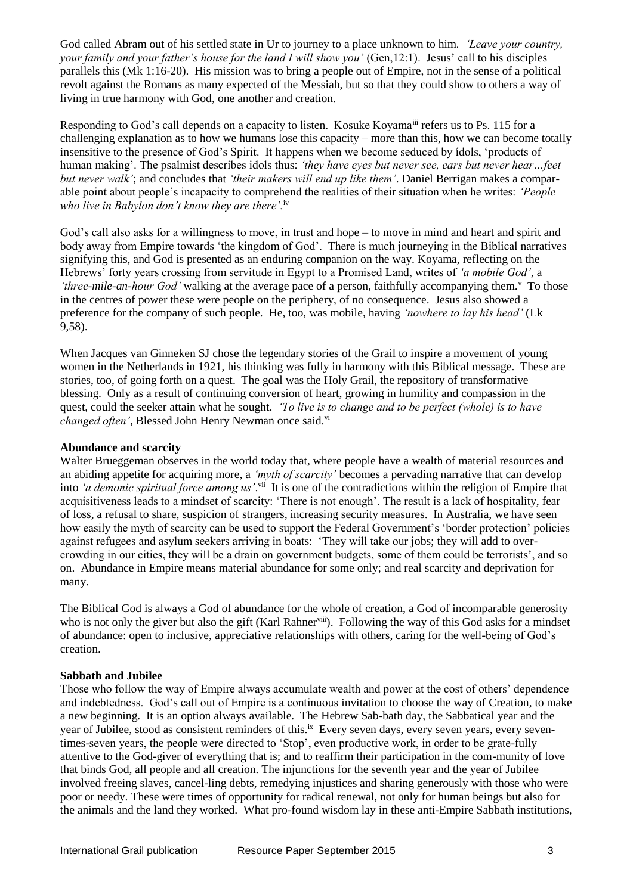God called Abram out of his settled state in Ur to journey to a place unknown to him*. 'Leave your country, your family and your father's house for the land I will show you'* (Gen,12:1). Jesus' call to his disciples parallels this (Mk 1:16-20). His mission was to bring a people out of Empire, not in the sense of a political revolt against the Romans as many expected of the Messiah, but so that they could show to others a way of living in true harmony with God, one another and creation.

Responding to God's call depends on a capacity to listen. Kosuke Koyama<sup>iii</sup> refers us to Ps. 115 for a challenging explanation as to how we humans lose this capacity – more than this, how we can become totally insensitive to the presence of God's Spirit. It happens when we become seduced by ídols, 'products of human making'. The psalmist describes idols thus: *'they have eyes but never see, ears but never hear…feet but never walk'*; and concludes that *'their makers will end up like them'*. Daniel Berrigan makes a comparable point about people's incapacity to comprehend the realities of their situation when he writes: *'People who live in Babylon don't know they are there'.*iv

God's call also asks for a willingness to move, in trust and hope – to move in mind and heart and spirit and body away from Empire towards 'the kingdom of God'. There is much journeying in the Biblical narratives signifying this, and God is presented as an enduring companion on the way. Koyama, reflecting on the Hebrews' forty years crossing from servitude in Egypt to a Promised Land, writes of *'a mobile God'*, a 'three-mile-an-hour God' walking at the average pace of a person, faithfully accompanying them.<sup>v</sup> To those in the centres of power these were people on the periphery, of no consequence. Jesus also showed a preference for the company of such people. He, too, was mobile, having *'nowhere to lay his head'* (Lk 9,58).

When Jacques van Ginneken SJ chose the legendary stories of the Grail to inspire a movement of young women in the Netherlands in 1921, his thinking was fully in harmony with this Biblical message. These are stories, too, of going forth on a quest. The goal was the Holy Grail, the repository of transformative blessing. Only as a result of continuing conversion of heart, growing in humility and compassion in the quest, could the seeker attain what he sought. *'To live is to change and to be perfect (whole) is to have changed often'*, Blessed John Henry Newman once said.<sup>vi</sup>

## **Abundance and scarcity**

Walter Brueggeman observes in the world today that, where people have a wealth of material resources and an abiding appetite for acquiring more, a *'myth of scarcity'* becomes a pervading narrative that can develop into *'a demonic spiritual force among us*'.<sup>vii</sup> It is one of the contradictions within the religion of Empire that acquisitiveness leads to a mindset of scarcity: 'There is not enough'. The result is a lack of hospitality, fear of loss, a refusal to share, suspicion of strangers, increasing security measures. In Australia, we have seen how easily the myth of scarcity can be used to support the Federal Government's 'border protection' policies against refugees and asylum seekers arriving in boats: 'They will take our jobs; they will add to overcrowding in our cities, they will be a drain on government budgets, some of them could be terrorists', and so on. Abundance in Empire means material abundance for some only; and real scarcity and deprivation for many.

The Biblical God is always a God of abundance for the whole of creation, a God of incomparable generosity who is not only the giver but also the gift (Karl Rahner<sup>viii</sup>). Following the way of this God asks for a mindset of abundance: open to inclusive, appreciative relationships with others, caring for the well-being of God's creation.

## **Sabbath and Jubilee**

Those who follow the way of Empire always accumulate wealth and power at the cost of others' dependence and indebtedness. God's call out of Empire is a continuous invitation to choose the way of Creation, to make a new beginning. It is an option always available. The Hebrew Sab-bath day, the Sabbatical year and the year of Jubilee, stood as consistent reminders of this.<sup>ix</sup> Every seven days, every seven years, every seventimes-seven years, the people were directed to 'Stop', even productive work, in order to be grate-fully attentive to the God-giver of everything that is; and to reaffirm their participation in the com-munity of love that binds God, all people and all creation. The injunctions for the seventh year and the year of Jubilee involved freeing slaves, cancel-ling debts, remedying injustices and sharing generously with those who were poor or needy. These were times of opportunity for radical renewal, not only for human beings but also for the animals and the land they worked. What pro-found wisdom lay in these anti-Empire Sabbath institutions,